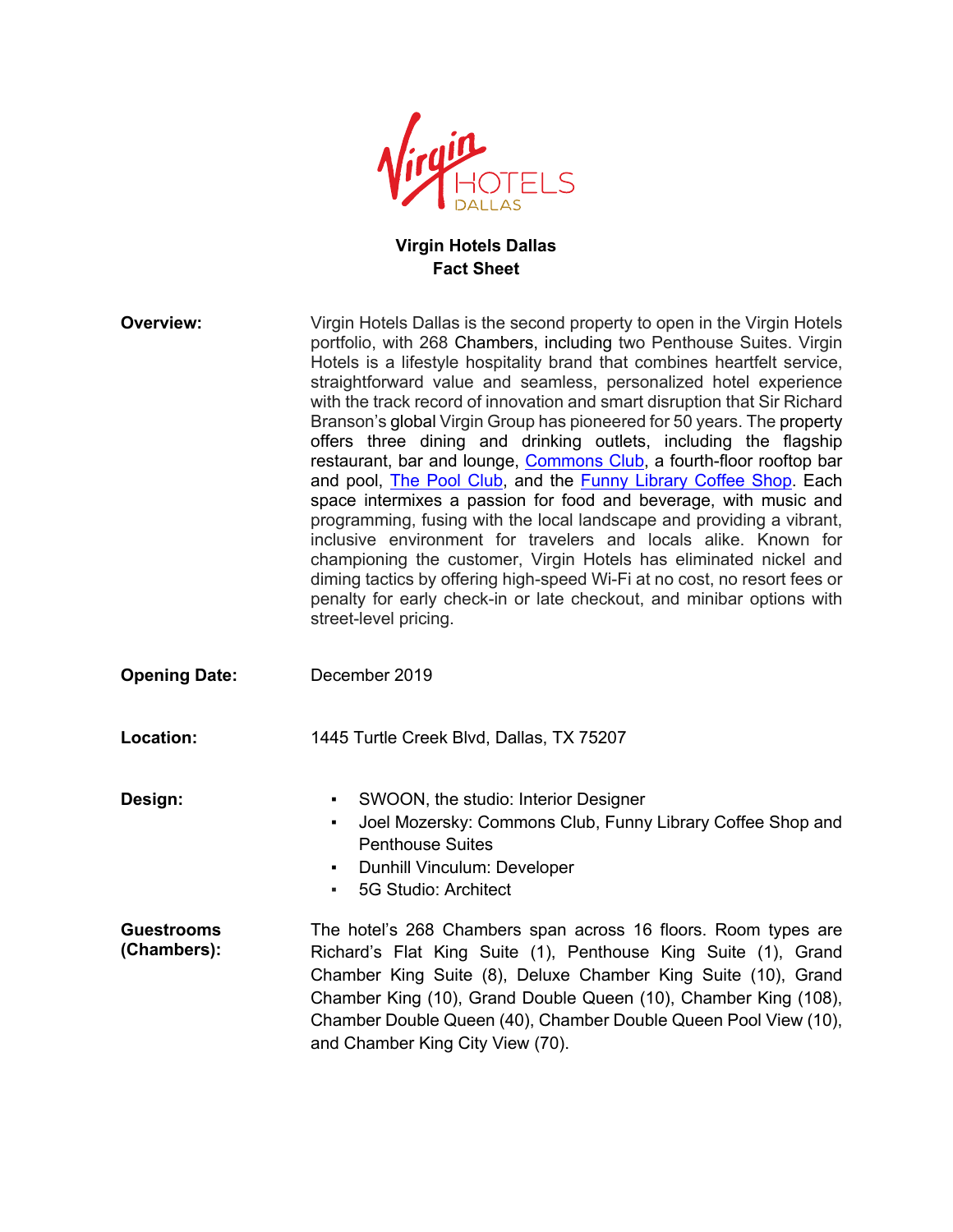

## **Virgin Hotels Dallas Fact Sheet**

| <b>Overview:</b>                 | Virgin Hotels Dallas is the second property to open in the Virgin Hotels<br>portfolio, with 268 Chambers, including two Penthouse Suites. Virgin<br>Hotels is a lifestyle hospitality brand that combines heartfelt service,<br>straightforward value and seamless, personalized hotel experience<br>with the track record of innovation and smart disruption that Sir Richard<br>Branson's global Virgin Group has pioneered for 50 years. The property<br>offers three dining and drinking outlets, including the flagship<br>restaurant, bar and lounge, Commons Club, a fourth-floor rooftop bar<br>and pool, The Pool Club, and the Funny Library Coffee Shop. Each<br>space intermixes a passion for food and beverage, with music and<br>programming, fusing with the local landscape and providing a vibrant,<br>inclusive environment for travelers and locals alike. Known for<br>championing the customer, Virgin Hotels has eliminated nickel and<br>diming tactics by offering high-speed Wi-Fi at no cost, no resort fees or<br>penalty for early check-in or late checkout, and minibar options with<br>street-level pricing. |
|----------------------------------|----------------------------------------------------------------------------------------------------------------------------------------------------------------------------------------------------------------------------------------------------------------------------------------------------------------------------------------------------------------------------------------------------------------------------------------------------------------------------------------------------------------------------------------------------------------------------------------------------------------------------------------------------------------------------------------------------------------------------------------------------------------------------------------------------------------------------------------------------------------------------------------------------------------------------------------------------------------------------------------------------------------------------------------------------------------------------------------------------------------------------------------------|
| <b>Opening Date:</b>             | December 2019                                                                                                                                                                                                                                                                                                                                                                                                                                                                                                                                                                                                                                                                                                                                                                                                                                                                                                                                                                                                                                                                                                                                |
| Location:                        | 1445 Turtle Creek Blvd, Dallas, TX 75207                                                                                                                                                                                                                                                                                                                                                                                                                                                                                                                                                                                                                                                                                                                                                                                                                                                                                                                                                                                                                                                                                                     |
| Design:                          | SWOON, the studio: Interior Designer<br>Joel Mozersky: Commons Club, Funny Library Coffee Shop and<br>٠<br><b>Penthouse Suites</b><br>Dunhill Vinculum: Developer<br>٠<br>5G Studio: Architect<br>٠,                                                                                                                                                                                                                                                                                                                                                                                                                                                                                                                                                                                                                                                                                                                                                                                                                                                                                                                                         |
| <b>Guestrooms</b><br>(Chambers): | The hotel's 268 Chambers span across 16 floors. Room types are<br>Richard's Flat King Suite (1), Penthouse King Suite (1), Grand<br>Chamber King Suite (8), Deluxe Chamber King Suite (10), Grand<br>Chamber King (10), Grand Double Queen (10), Chamber King (108),<br>Chamber Double Queen (40), Chamber Double Queen Pool View (10),<br>and Chamber King City View (70).                                                                                                                                                                                                                                                                                                                                                                                                                                                                                                                                                                                                                                                                                                                                                                  |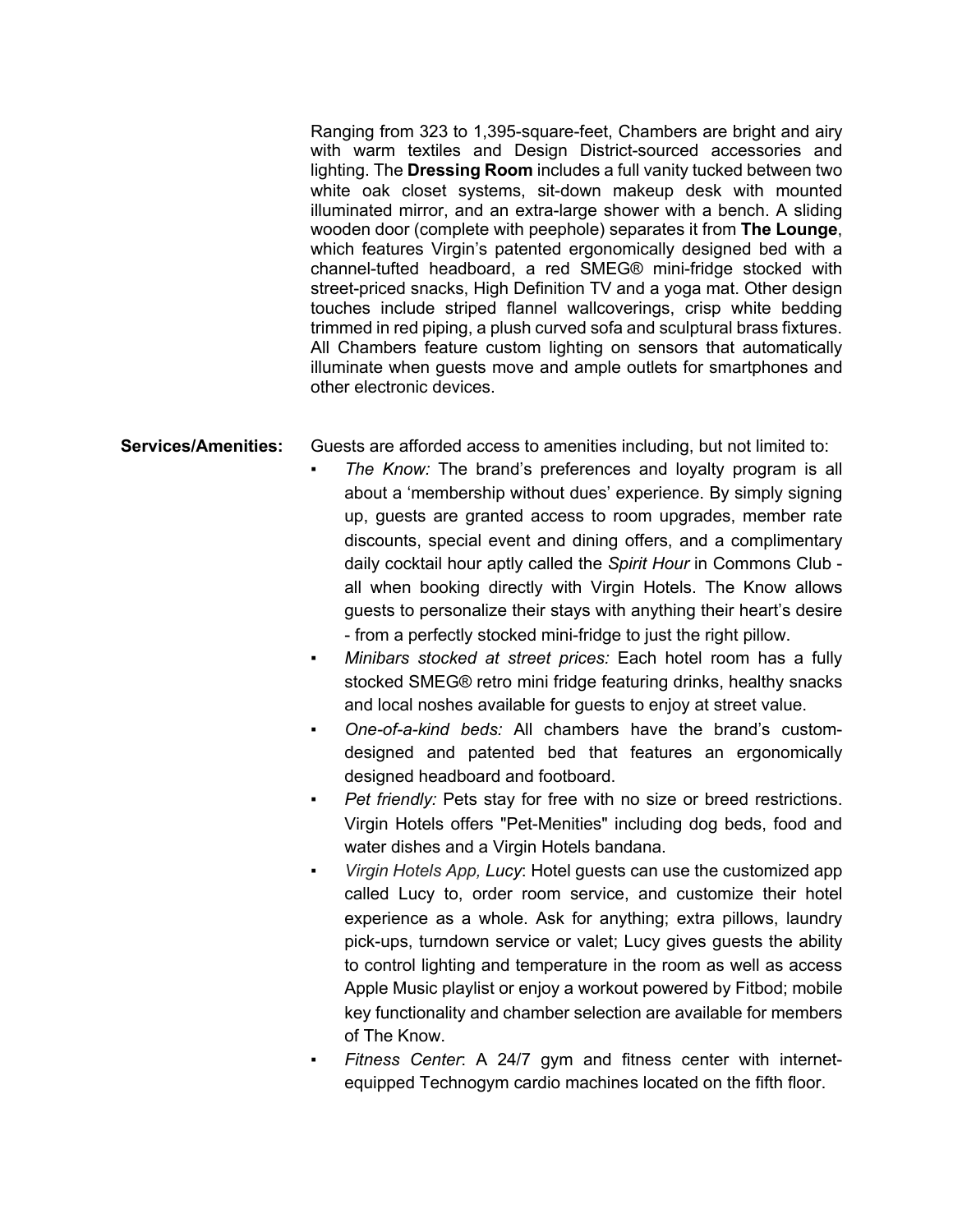Ranging from 323 to 1,395-square-feet, Chambers are bright and airy with warm textiles and Design District-sourced accessories and lighting. The **Dressing Room** includes a full vanity tucked between two white oak closet systems, sit-down makeup desk with mounted illuminated mirror, and an extra-large shower with a bench. A sliding wooden door (complete with peephole) separates it from **The Lounge**, which features Virgin's patented ergonomically designed bed with a channel-tufted headboard, a red SMEG® mini-fridge stocked with street-priced snacks, High Definition TV and a yoga mat. Other design touches include striped flannel wallcoverings, crisp white bedding trimmed in red piping, a plush curved sofa and sculptural brass fixtures. All Chambers feature custom lighting on sensors that automatically illuminate when guests move and ample outlets for smartphones and other electronic devices.

**Services/Amenities:** Guests are afforded access to amenities including, but not limited to:

- The Know: The brand's preferences and loyalty program is all about a 'membership without dues' experience. By simply signing up, guests are granted access to room upgrades, member rate discounts, special event and dining offers, and a complimentary daily cocktail hour aptly called the *Spirit Hour* in Commons Club all when booking directly with Virgin Hotels. The Know allows guests to personalize their stays with anything their heart's desire - from a perfectly stocked mini-fridge to just the right pillow.
	- Minibars stocked at street prices: Each hotel room has a fully stocked SMEG® retro mini fridge featuring drinks, healthy snacks and local noshes available for guests to enjoy at street value.
	- *One-of-a-kind beds:* All chambers have the brand's customdesigned and patented bed that features an ergonomically designed headboard and footboard.
	- *Pet friendly:* Pets stay for free with no size or breed restrictions. Virgin Hotels offers "Pet-Menities" including dog beds, food and water dishes and a Virgin Hotels bandana.
	- *Virgin Hotels App, Lucy*: Hotel guests can use the customized app called Lucy to, order room service, and customize their hotel experience as a whole. Ask for anything; extra pillows, laundry pick-ups, turndown service or valet; Lucy gives guests the ability to control lighting and temperature in the room as well as access Apple Music playlist or enjoy a workout powered by Fitbod; mobile key functionality and chamber selection are available for members of The Know.
	- Fitness Center: A 24/7 gym and fitness center with internetequipped Technogym cardio machines located on the fifth floor.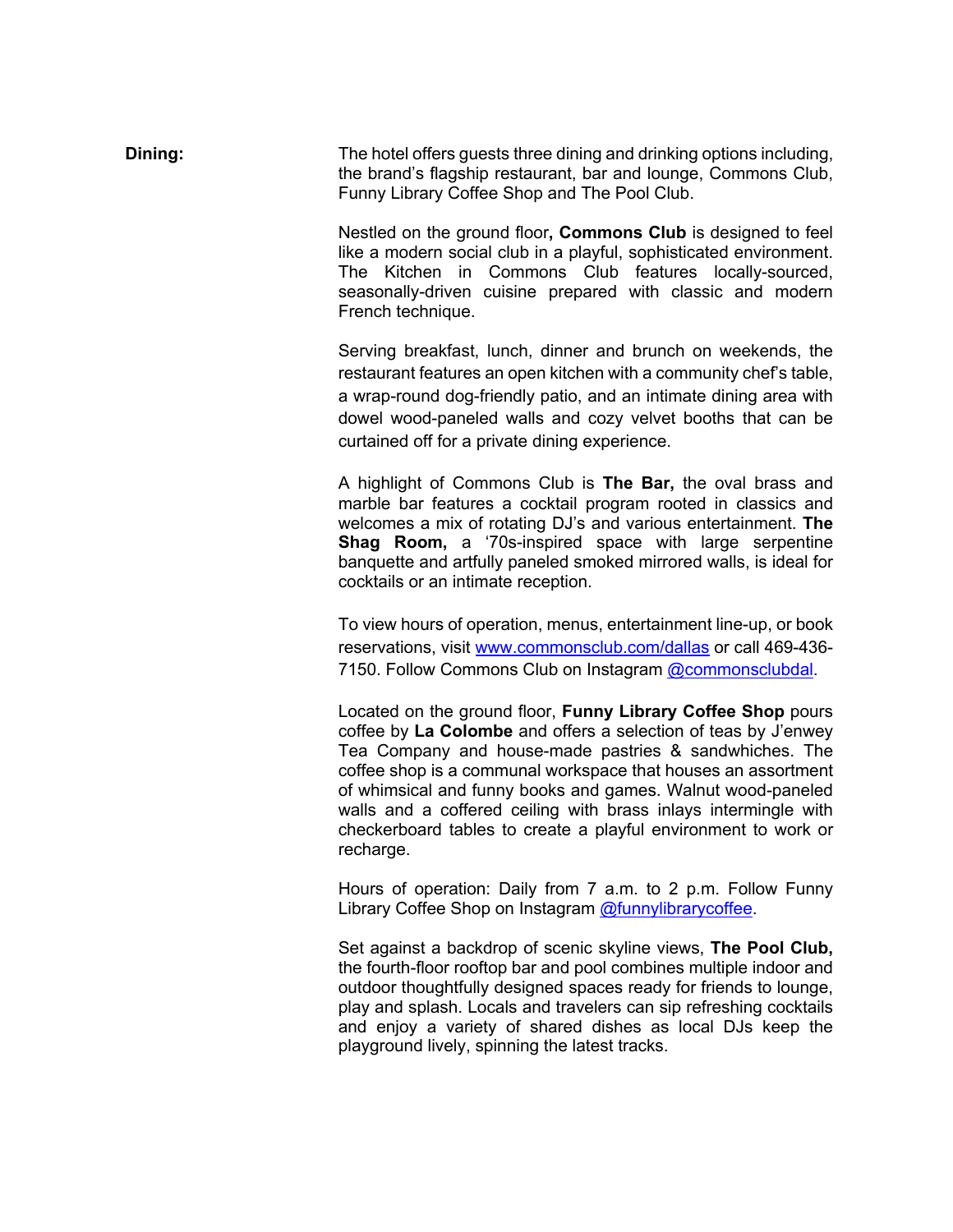**Dining:** The hotel offers guests three dining and drinking options including, the brand's flagship restaurant, bar and lounge, Commons Club, Funny Library Coffee Shop and The Pool Club.

> Nestled on the ground floor**, Commons Club** is designed to feel like a modern social club in a playful, sophisticated environment. The Kitchen in Commons Club features locally-sourced, seasonally-driven cuisine prepared with classic and modern French technique.

> Serving breakfast, lunch, dinner and brunch on weekends, the restaurant features an open kitchen with a community chef's table, a wrap-round dog-friendly patio, and an intimate dining area with dowel wood-paneled walls and cozy velvet booths that can be curtained off for a private dining experience.

> A highlight of Commons Club is **The Bar,** the oval brass and marble bar features a cocktail program rooted in classics and welcomes a mix of rotating DJ's and various entertainment. **The Shag Room,** a '70s-inspired space with large serpentine banquette and artfully paneled smoked mirrored walls, is ideal for cocktails or an intimate reception.

> To view hours of operation, menus, entertainment line-up, or book reservations, visit www.commonsclub.com/dallas or call 469-436- 7150. Follow Commons Club on Instagram @commonsclubdal.

> Located on the ground floor, **Funny Library Coffee Shop** pours coffee by **La Colombe** and offers a selection of teas by J'enwey Tea Company and house-made pastries & sandwhiches. The coffee shop is a communal workspace that houses an assortment of whimsical and funny books and games. Walnut wood-paneled walls and a coffered ceiling with brass inlays intermingle with checkerboard tables to create a playful environment to work or recharge.

> Hours of operation: Daily from 7 a.m. to 2 p.m. Follow Funny Library Coffee Shop on Instagram @funnylibrarycoffee.

> Set against a backdrop of scenic skyline views, **The Pool Club,**  the fourth-floor rooftop bar and pool combines multiple indoor and outdoor thoughtfully designed spaces ready for friends to lounge, play and splash. Locals and travelers can sip refreshing cocktails and enjoy a variety of shared dishes as local DJs keep the playground lively, spinning the latest tracks.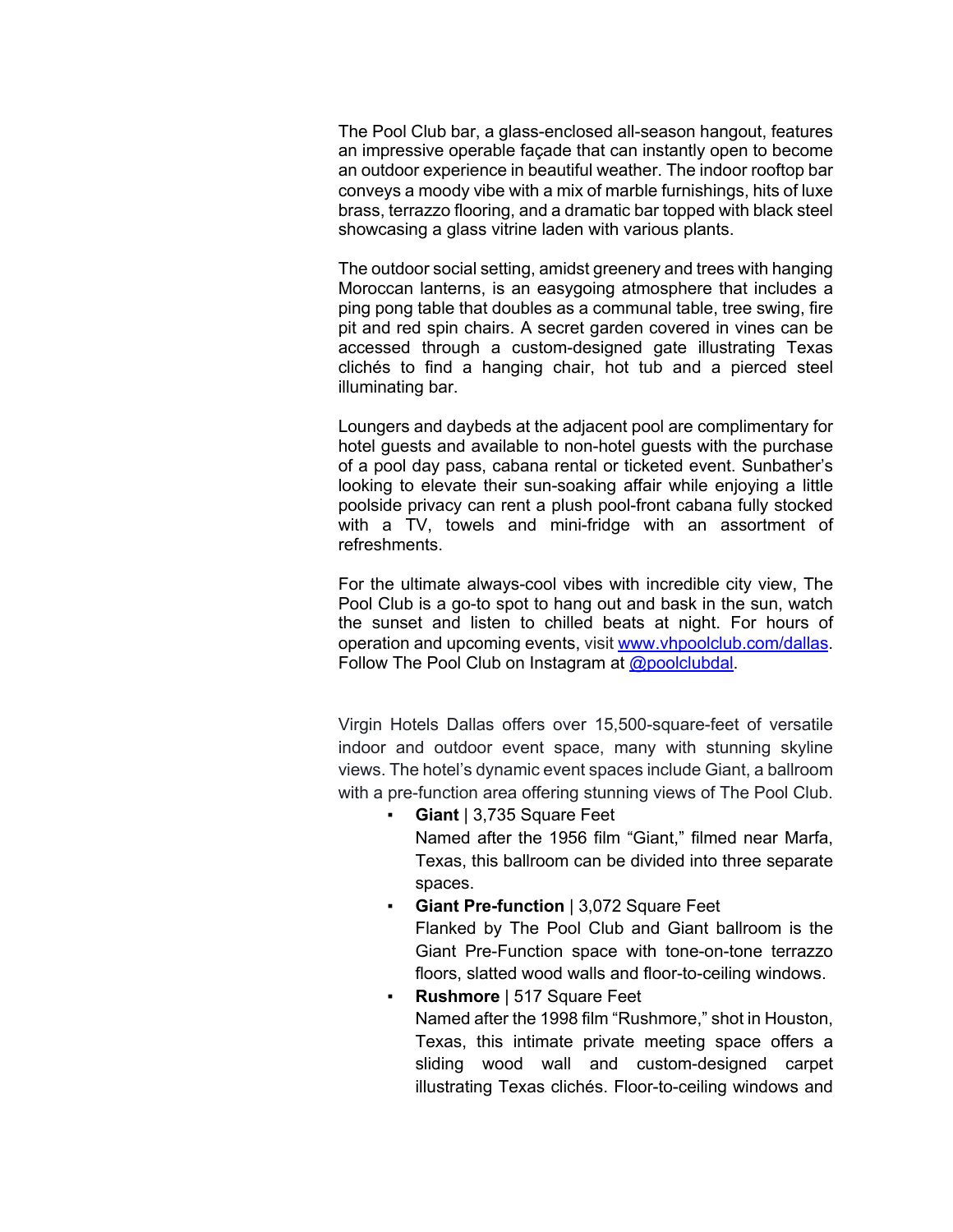The Pool Club bar, a glass-enclosed all-season hangout, features an impressive operable façade that can instantly open to become an outdoor experience in beautiful weather. The indoor rooftop bar conveys a moody vibe with a mix of marble furnishings, hits of luxe brass, terrazzo flooring, and a dramatic bar topped with black steel showcasing a glass vitrine laden with various plants.

The outdoor social setting, amidst greenery and trees with hanging Moroccan lanterns, is an easygoing atmosphere that includes a ping pong table that doubles as a communal table, tree swing, fire pit and red spin chairs. A secret garden covered in vines can be accessed through a custom-designed gate illustrating Texas clichés to find a hanging chair, hot tub and a pierced steel illuminating bar.

Loungers and daybeds at the adjacent pool are complimentary for hotel guests and available to non-hotel guests with the purchase of a pool day pass, cabana rental or ticketed event. Sunbather's looking to elevate their sun-soaking affair while enjoying a little poolside privacy can rent a plush pool-front cabana fully stocked with a TV, towels and mini-fridge with an assortment of refreshments.

For the ultimate always-cool vibes with incredible city view, The Pool Club is a go-to spot to hang out and bask in the sun, watch the sunset and listen to chilled beats at night. For hours of operation and upcoming events, visit www.vhpoolclub.com/dallas. Follow The Pool Club on Instagram at  $@$  poolclubdal.

Virgin Hotels Dallas offers over 15,500-square-feet of versatile indoor and outdoor event space, many with stunning skyline views. The hotel's dynamic event spaces include Giant, a ballroom with a pre-function area offering stunning views of The Pool Club.

- **Giant** | 3,735 Square Feet Named after the 1956 film "Giant," filmed near Marfa, Texas, this ballroom can be divided into three separate spaces.
- **Giant Pre-function** | 3,072 Square Feet Flanked by The Pool Club and Giant ballroom is the Giant Pre-Function space with tone-on-tone terrazzo floors, slatted wood walls and floor-to-ceiling windows.
- **Rushmore** | 517 Square Feet Named after the 1998 film "Rushmore," shot in Houston, Texas, this intimate private meeting space offers a sliding wood wall and custom-designed carpet illustrating Texas clichés. Floor-to-ceiling windows and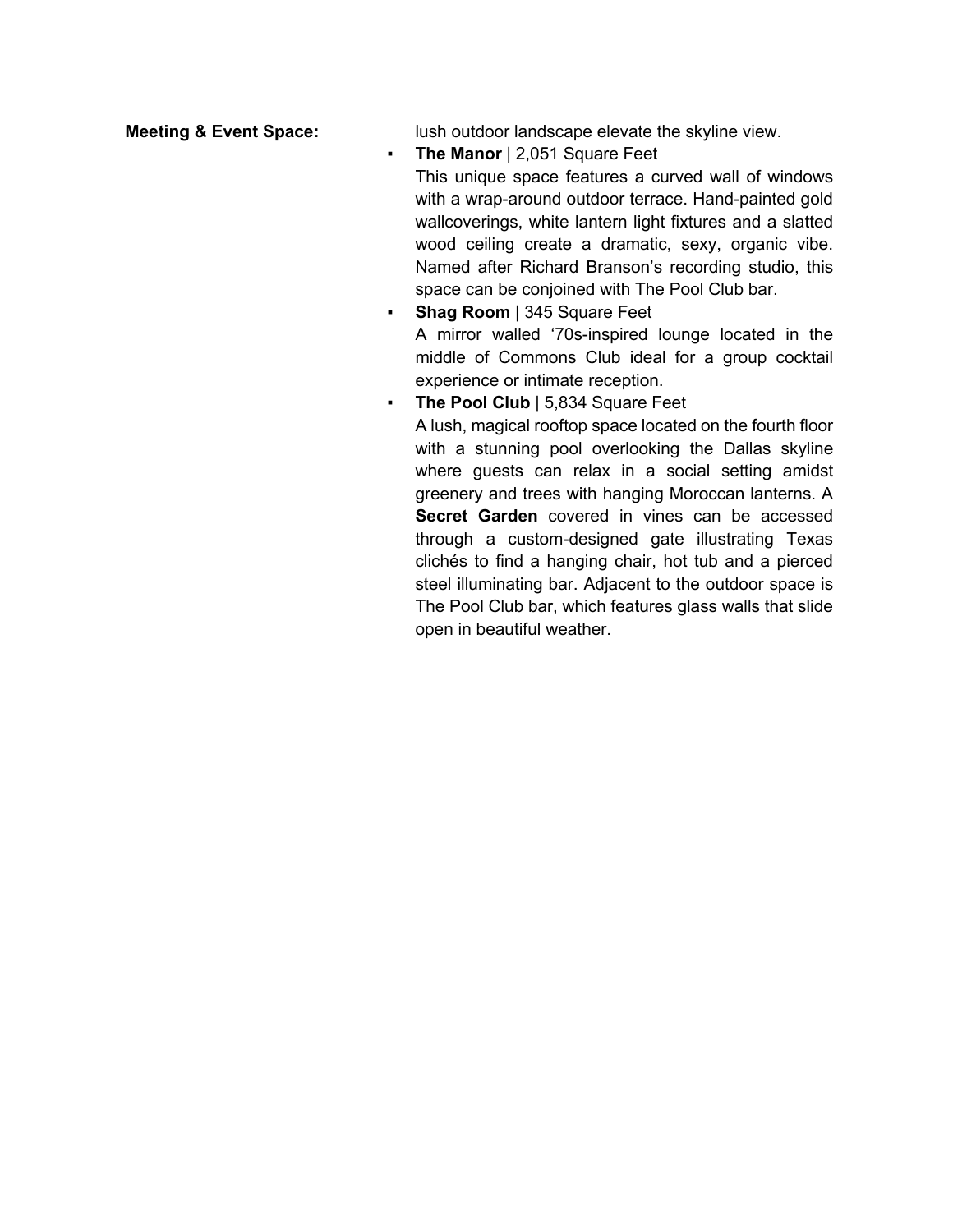**Meeting & Event Space:** lush outdoor landscape elevate the skyline view.

▪ **The Manor** | 2,051 Square Feet

This unique space features a curved wall of windows with a wrap-around outdoor terrace. Hand-painted gold wallcoverings, white lantern light fixtures and a slatted wood ceiling create a dramatic, sexy, organic vibe. Named after Richard Branson's recording studio, this space can be conjoined with The Pool Club bar.

- **Shag Room** | 345 Square Feet A mirror walled '70s-inspired lounge located in the middle of Commons Club ideal for a group cocktail experience or intimate reception.
- **The Pool Club** | 5,834 Square Feet

A lush, magical rooftop space located on the fourth floor with a stunning pool overlooking the Dallas skyline where guests can relax in a social setting amidst greenery and trees with hanging Moroccan lanterns. A **Secret Garden** covered in vines can be accessed through a custom-designed gate illustrating Texas clichés to find a hanging chair, hot tub and a pierced steel illuminating bar. Adjacent to the outdoor space is The Pool Club bar, which features glass walls that slide open in beautiful weather.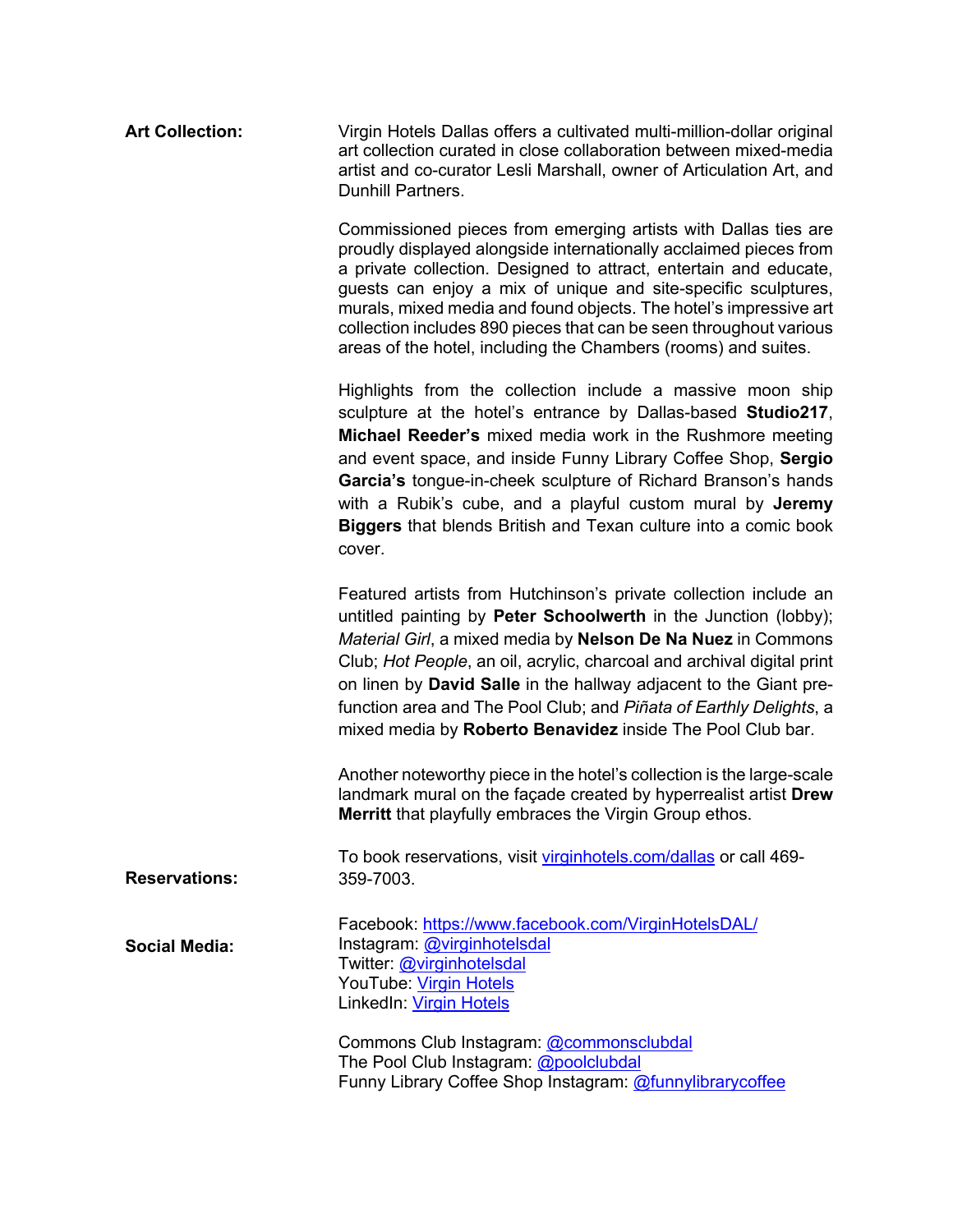| <b>Art Collection:</b> | Virgin Hotels Dallas offers a cultivated multi-million-dollar original<br>art collection curated in close collaboration between mixed-media<br>artist and co-curator Lesli Marshall, owner of Articulation Art, and<br><b>Dunhill Partners.</b>                                                                                                                                                                                                                                         |
|------------------------|-----------------------------------------------------------------------------------------------------------------------------------------------------------------------------------------------------------------------------------------------------------------------------------------------------------------------------------------------------------------------------------------------------------------------------------------------------------------------------------------|
|                        | Commissioned pieces from emerging artists with Dallas ties are<br>proudly displayed alongside internationally acclaimed pieces from<br>a private collection. Designed to attract, entertain and educate,<br>guests can enjoy a mix of unique and site-specific sculptures,<br>murals, mixed media and found objects. The hotel's impressive art<br>collection includes 890 pieces that can be seen throughout various<br>areas of the hotel, including the Chambers (rooms) and suites. |
|                        | Highlights from the collection include a massive moon ship<br>sculpture at the hotel's entrance by Dallas-based Studio217,<br>Michael Reeder's mixed media work in the Rushmore meeting<br>and event space, and inside Funny Library Coffee Shop, Sergio<br>Garcia's tongue-in-cheek sculpture of Richard Branson's hands<br>with a Rubik's cube, and a playful custom mural by Jeremy<br><b>Biggers</b> that blends British and Texan culture into a comic book<br>cover.              |
|                        | Featured artists from Hutchinson's private collection include an<br>untitled painting by Peter Schoolwerth in the Junction (lobby);<br>Material Girl, a mixed media by Nelson De Na Nuez in Commons<br>Club; Hot People, an oil, acrylic, charcoal and archival digital print<br>on linen by David Salle in the hallway adjacent to the Giant pre-<br>function area and The Pool Club; and Piñata of Earthly Delights, a<br>mixed media by Roberto Benavidez inside The Pool Club bar.  |
|                        | Another noteworthy piece in the hotel's collection is the large-scale<br>landmark mural on the façade created by hyperrealist artist Drew<br><b>Merritt</b> that playfully embraces the Virgin Group ethos.                                                                                                                                                                                                                                                                             |
| <b>Reservations:</b>   | To book reservations, visit virginhotels.com/dallas or call 469-<br>359-7003.                                                                                                                                                                                                                                                                                                                                                                                                           |
| <b>Social Media:</b>   | Facebook: https://www.facebook.com/VirginHotelsDAL/<br>Instagram: @virginhotelsdal<br>Twitter: @virginhotelsdal<br>YouTube: Virgin Hotels<br>LinkedIn: Virgin Hotels                                                                                                                                                                                                                                                                                                                    |
|                        | Commons Club Instagram: @commonsclubdal<br>The Pool Club Instagram: @poolclubdal<br>Funny Library Coffee Shop Instagram: @funnylibrarycoffee                                                                                                                                                                                                                                                                                                                                            |